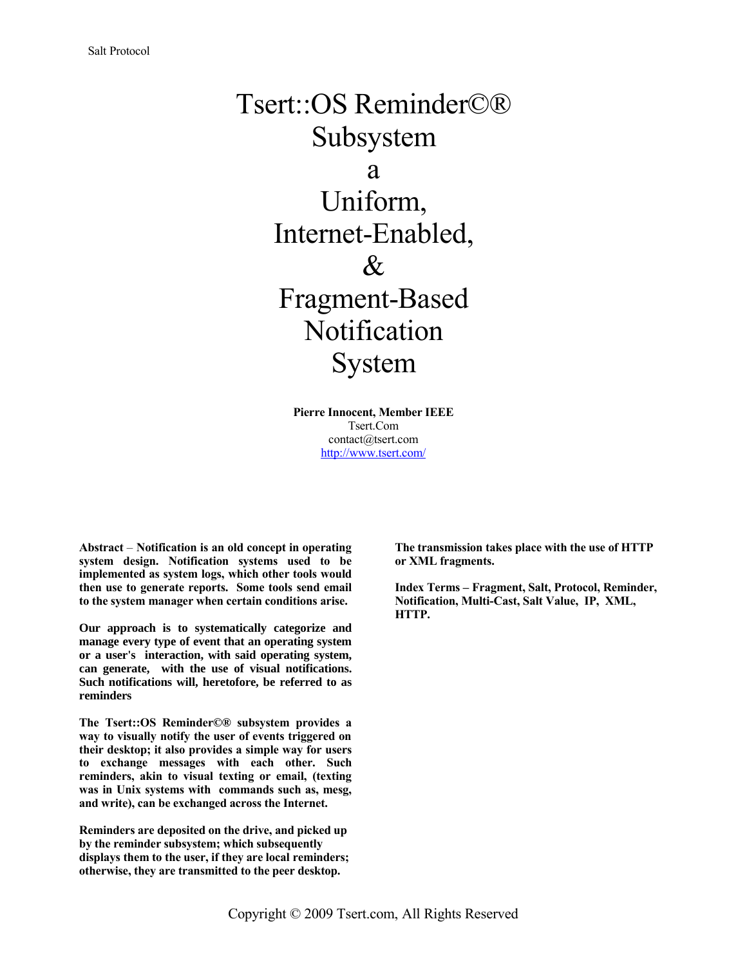# Tsert::OS Reminder©® Subsystem a Uniform, Internet-Enabled,  $\&$ Fragment-Based Notification System

**Pierre Innocent, Member IEEE** Tsert.Com contact@tsert.com <http://www.tsert.com/>

**Abstract** – **Notification is an old concept in operating system design. Notification systems used to be implemented as system logs, which other tools would then use to generate reports. Some tools send email to the system manager when certain conditions arise.**

**Our approach is to systematically categorize and manage every type of event that an operating system or a user's interaction, with said operating system, can generate, with the use of visual notifications. Such notifications will, heretofore, be referred to as reminders**

**The Tsert::OS Reminder©® subsystem provides a way to visually notify the user of events triggered on their desktop; it also provides a simple way for users to exchange messages with each other. Such reminders, akin to visual texting or email, (texting was in Unix systems with commands such as, mesg, and write), can be exchanged across the Internet.**

**Reminders are deposited on the drive, and picked up by the reminder subsystem; which subsequently displays them to the user, if they are local reminders; otherwise, they are transmitted to the peer desktop.**

**The transmission takes place with the use of HTTP or XML fragments.**

**Index Terms – Fragment, Salt, Protocol, Reminder, Notification, Multi-Cast, Salt Value, IP, XML, HTTP.**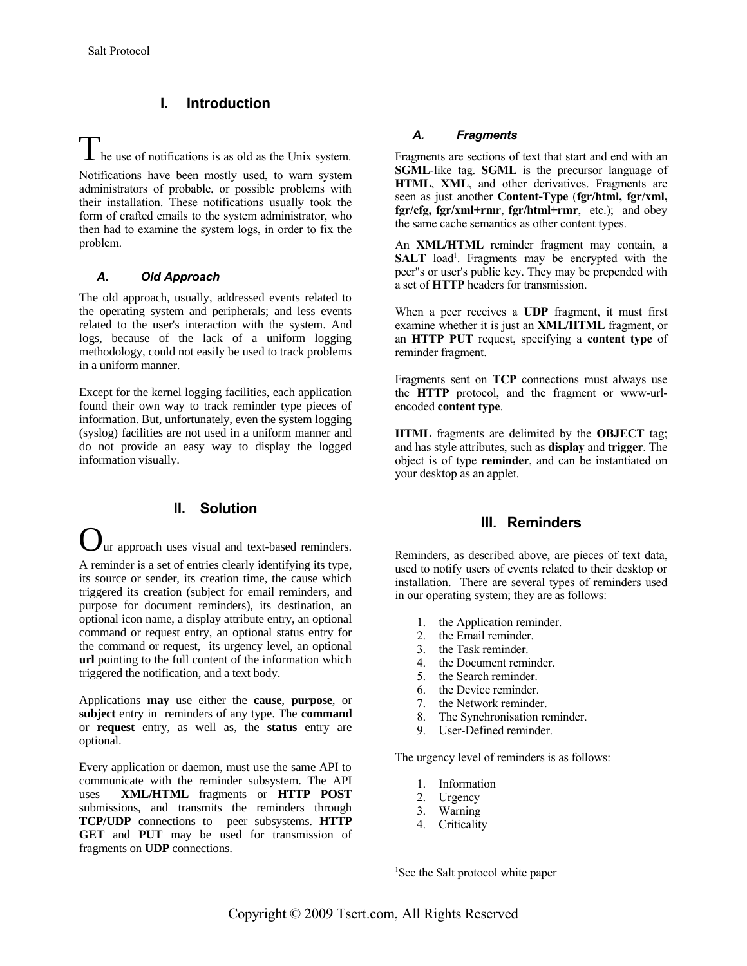## **I. Introduction**

# **The use of notifications is as old as the Unix system.**

Notifications have been mostly used, to warn system administrators of probable, or possible problems with their installation. These notifications usually took the form of crafted emails to the system administrator, who then had to examine the system logs, in order to fix the problem.

#### *A. Old Approach*

The old approach, usually, addressed events related to the operating system and peripherals; and less events related to the user's interaction with the system. And logs, because of the lack of a uniform logging methodology, could not easily be used to track problems in a uniform manner.

Except for the kernel logging facilities, each application found their own way to track reminder type pieces of information. But, unfortunately, even the system logging (syslog) facilities are not used in a uniform manner and do not provide an easy way to display the logged information visually.

### **II. Solution**

ur approach uses visual and text-based reminders. A reminder is a set of entries clearly identifying its type, its source or sender, its creation time, the cause which triggered its creation (subject for email reminders, and purpose for document reminders), its destination, an optional icon name, a display attribute entry, an optional command or request entry, an optional status entry for the command or request, its urgency level, an optional **url** pointing to the full content of the information which triggered the notification, and a text body.

Applications **may** use either the **cause**, **purpose**, or **subject** entry in reminders of any type. The **command** or **request** entry, as well as, the **status** entry are optional.

Every application or daemon, must use the same API to communicate with the reminder subsystem. The API uses **XML/HTML** fragments or **HTTP POST** submissions, and transmits the reminders through **TCP/UDP** connections to peer subsystems. **HTTP GET** and **PUT** may be used for transmission of fragments on **UDP** connections.

#### *A. Fragments*

Fragments are sections of text that start and end with an **SGML**-like tag. **SGML** is the precursor language of **HTML**, **XML**, and other derivatives. Fragments are seen as just another **Content-Type** (**fgr/html, fgr/xml, fgr/cfg, fgr/xml+rmr**, **fgr/html+rmr**, etc.); and obey the same cache semantics as other content types.

An **XML/HTML** reminder fragment may contain, a SALT load<sup>[1](#page-1-0)</sup>. Fragments may be encrypted with the peer''s or user's public key. They may be prepended with a set of **HTTP** headers for transmission.

When a peer receives a **UDP** fragment, it must first examine whether it is just an **XML/HTML** fragment, or an **HTTP PUT** request, specifying a **content type** of reminder fragment.

Fragments sent on **TCP** connections must always use the **HTTP** protocol, and the fragment or www-urlencoded **content type**.

**HTML** fragments are delimited by the **OBJECT** tag; and has style attributes, such as **display** and **trigger**. The object is of type **reminder**, and can be instantiated on your desktop as an applet.

# **III. Reminders**

Reminders, as described above, are pieces of text data, used to notify users of events related to their desktop or installation. There are several types of reminders used in our operating system; they are as follows:

- 1. the Application reminder.
- 2. the Email reminder.
- 3. the Task reminder.
- 4. the Document reminder.
- 5. the Search reminder.
- 6. the Device reminder.
- 7. the Network reminder.
- 8. The Synchronisation reminder.
- 9. User-Defined reminder.

The urgency level of reminders is as follows:

- 1. Information
- 2. Urgency
- 3. Warning
- 4. Criticality

<span id="page-1-0"></span><sup>&</sup>lt;sup>1</sup>See the Salt protocol white paper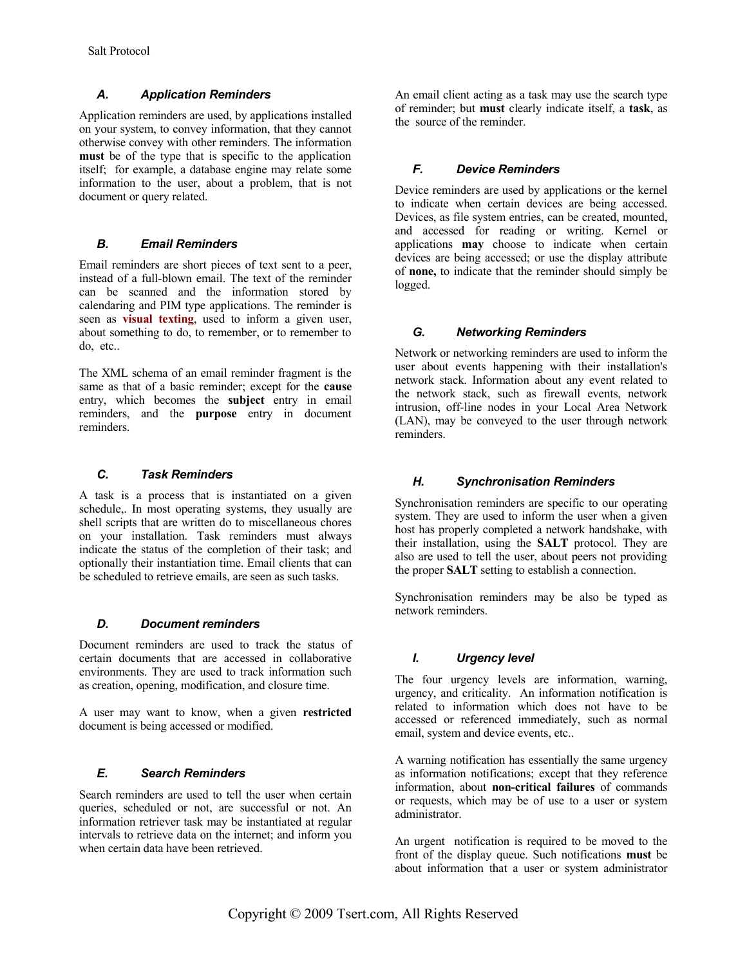#### *A. Application Reminders*

Application reminders are used, by applications installed on your system, to convey information, that they cannot otherwise convey with other reminders. The information **must** be of the type that is specific to the application itself; for example, a database engine may relate some information to the user, about a problem, that is not document or query related.

#### *B. Email Reminders*

Email reminders are short pieces of text sent to a peer, instead of a full-blown email. The text of the reminder can be scanned and the information stored by calendaring and PIM type applications. The reminder is seen as **visual texting**, used to inform a given user, about something to do, to remember, or to remember to do, etc..

The XML schema of an email reminder fragment is the same as that of a basic reminder; except for the **cause** entry, which becomes the **subject** entry in email reminders, and the **purpose** entry in document reminders.

#### *C. Task Reminders*

A task is a process that is instantiated on a given schedule,. In most operating systems, they usually are shell scripts that are written do to miscellaneous chores on your installation. Task reminders must always indicate the status of the completion of their task; and optionally their instantiation time. Email clients that can be scheduled to retrieve emails, are seen as such tasks.

#### *D. Document reminders*

Document reminders are used to track the status of certain documents that are accessed in collaborative environments. They are used to track information such as creation, opening, modification, and closure time.

A user may want to know, when a given **restricted** document is being accessed or modified.

#### *E. Search Reminders*

Search reminders are used to tell the user when certain queries, scheduled or not, are successful or not. An information retriever task may be instantiated at regular intervals to retrieve data on the internet; and inform you when certain data have been retrieved.

An email client acting as a task may use the search type of reminder; but **must** clearly indicate itself, a **task**, as the source of the reminder.

#### *F. Device Reminders*

Device reminders are used by applications or the kernel to indicate when certain devices are being accessed. Devices, as file system entries, can be created, mounted, and accessed for reading or writing. Kernel or applications **may** choose to indicate when certain devices are being accessed; or use the display attribute of **none,** to indicate that the reminder should simply be logged.

#### *G. Networking Reminders*

Network or networking reminders are used to inform the user about events happening with their installation's network stack. Information about any event related to the network stack, such as firewall events, network intrusion, off-line nodes in your Local Area Network (LAN), may be conveyed to the user through network reminders.

#### *H. Synchronisation Reminders*

Synchronisation reminders are specific to our operating system. They are used to inform the user when a given host has properly completed a network handshake, with their installation, using the **SALT** protocol. They are also are used to tell the user, about peers not providing the proper **SALT** setting to establish a connection.

Synchronisation reminders may be also be typed as network reminders.

#### *I. Urgency level*

The four urgency levels are information, warning, urgency, and criticality. An information notification is related to information which does not have to be accessed or referenced immediately, such as normal email, system and device events, etc..

A warning notification has essentially the same urgency as information notifications; except that they reference information, about **non-critical failures** of commands or requests, which may be of use to a user or system administrator.

An urgent notification is required to be moved to the front of the display queue. Such notifications **must** be about information that a user or system administrator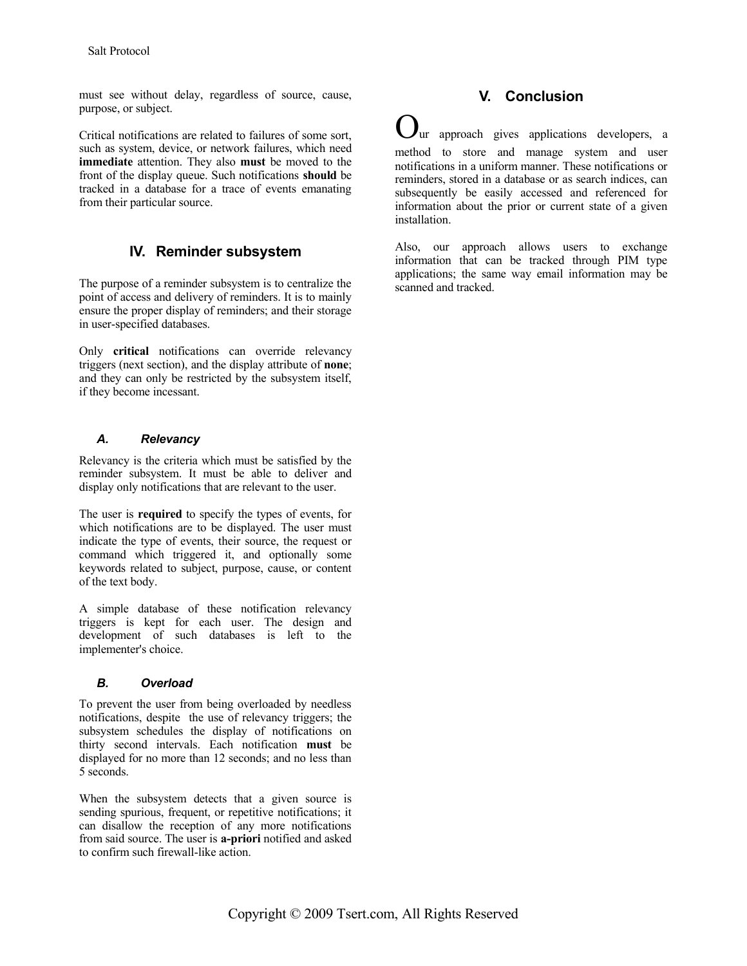must see without delay, regardless of source, cause, purpose, or subject.

Critical notifications are related to failures of some sort, such as system, device, or network failures, which need **immediate** attention. They also **must** be moved to the front of the display queue. Such notifications **should** be tracked in a database for a trace of events emanating from their particular source.

# **IV. Reminder subsystem**

The purpose of a reminder subsystem is to centralize the point of access and delivery of reminders. It is to mainly ensure the proper display of reminders; and their storage in user-specified databases.

Only **critical** notifications can override relevancy triggers (next section), and the display attribute of **none**; and they can only be restricted by the subsystem itself, if they become incessant.

#### *A. Relevancy*

Relevancy is the criteria which must be satisfied by the reminder subsystem. It must be able to deliver and display only notifications that are relevant to the user.

The user is **required** to specify the types of events, for which notifications are to be displayed. The user must indicate the type of events, their source, the request or command which triggered it, and optionally some keywords related to subject, purpose, cause, or content of the text body.

A simple database of these notification relevancy triggers is kept for each user. The design and development of such databases is left to the implementer's choice.

#### *B. Overload*

To prevent the user from being overloaded by needless notifications, despite the use of relevancy triggers; the subsystem schedules the display of notifications on thirty second intervals. Each notification **must** be displayed for no more than 12 seconds; and no less than 5 seconds.

When the subsystem detects that a given source is sending spurious, frequent, or repetitive notifications; it can disallow the reception of any more notifications from said source. The user is **a-priori** notified and asked to confirm such firewall-like action.

# **V. Conclusion**

ur approach gives applications developers, a method to store and manage system and user notifications in a uniform manner. These notifications or reminders, stored in a database or as search indices, can subsequently be easily accessed and referenced for information about the prior or current state of a given installation.

Also, our approach allows users to exchange information that can be tracked through PIM type applications; the same way email information may be scanned and tracked.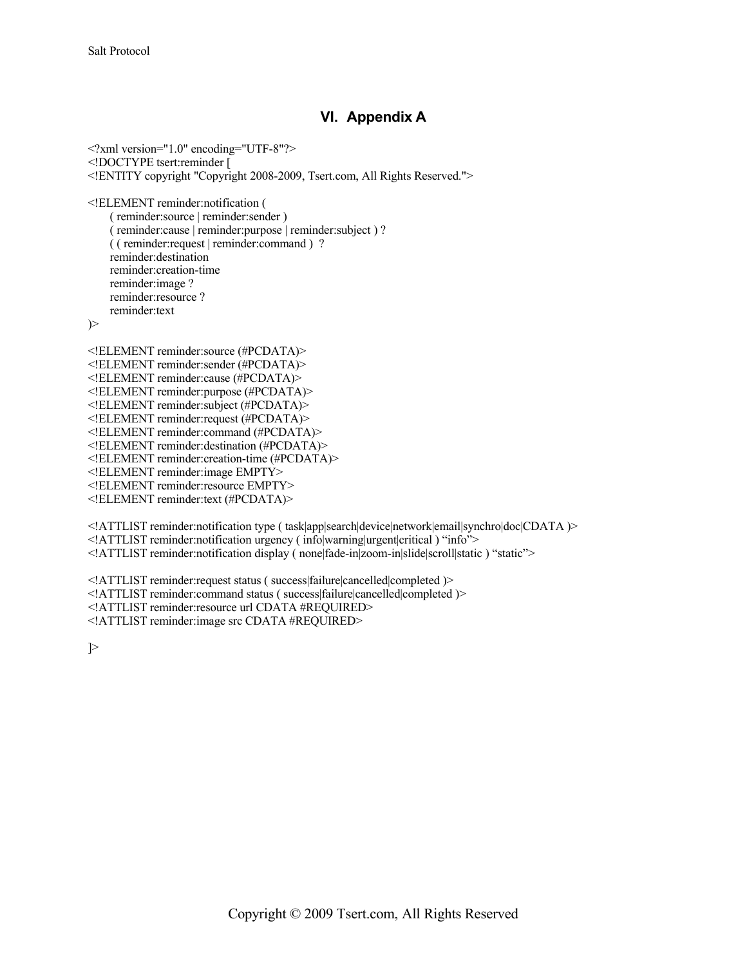# **VI. Appendix A**

 $\leq$ ?xml version="1.0" encoding="UTF-8"?> <!DOCTYPE tsert:reminder [ <!ENTITY copyright "Copyright 2008-2009, Tsert.com, All Rights Reserved.">

<!ELEMENT reminder:notification (

( reminder:source | reminder:sender ) ( reminder:cause | reminder:purpose | reminder:subject ) ? ( ( reminder:request | reminder:command ) ? reminder:destination reminder:creation-time reminder:image ? reminder:resource ? reminder:text

)>

<!ELEMENT reminder:source (#PCDATA)> <!ELEMENT reminder:sender (#PCDATA)> <!ELEMENT reminder:cause (#PCDATA)> <!ELEMENT reminder:purpose (#PCDATA)> <!ELEMENT reminder:subject (#PCDATA)> <!ELEMENT reminder:request (#PCDATA)> <!ELEMENT reminder:command (#PCDATA)> <!ELEMENT reminder:destination (#PCDATA)> <!ELEMENT reminder:creation-time (#PCDATA)> <!ELEMENT reminder:image EMPTY> <!ELEMENT reminder:resource EMPTY> <!ELEMENT reminder:text (#PCDATA)>

<!ATTLIST reminder:notification type ( task|app|search|device|network|email|synchro|doc|CDATA )> <!ATTLIST reminder:notification urgency ( info|warning|urgent|critical ) "info"> <!ATTLIST reminder:notification display ( none|fade-in|zoom-in|slide|scroll|static ) "static">

<!ATTLIST reminder:request status ( success|failure|cancelled|completed )>

<!ATTLIST reminder:command status ( success|failure|cancelled|completed )>

<!ATTLIST reminder:resource url CDATA #REQUIRED>

<!ATTLIST reminder:image src CDATA #REQUIRED>

]>